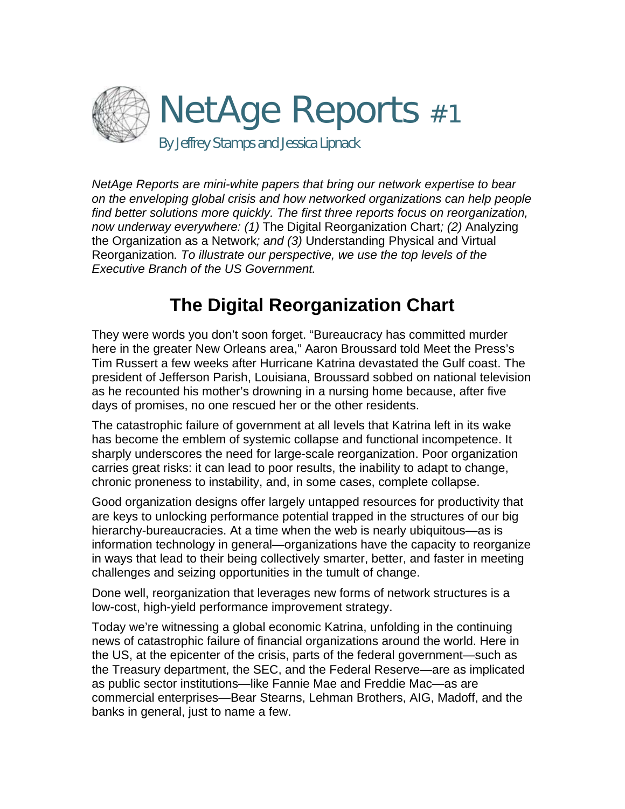

*NetAge Reports are mini-white papers that bring our network expertise to bear on the enveloping global crisis and how networked organizations can help people find better solutions more quickly. The first three reports focus on reorganization, now underway everywhere: (1)* The Digital Reorganization Chart*; (2)* Analyzing the Organization as a Network*; and (3)* Understanding Physical and Virtual Reorganization*. To illustrate our perspective, we use the top levels of the Executive Branch of the US Government.* 

# **The Digital Reorganization Chart**

They were words you don't soon forget. "Bureaucracy has committed murder here in the greater New Orleans area," Aaron Broussard told Meet the Press's Tim Russert a few weeks after Hurricane Katrina devastated the Gulf coast. The president of Jefferson Parish, Louisiana, Broussard sobbed on national television as he recounted his mother's drowning in a nursing home because, after five days of promises, no one rescued her or the other residents.

The catastrophic failure of government at all levels that Katrina left in its wake has become the emblem of systemic collapse and functional incompetence. It sharply underscores the need for large-scale reorganization. Poor organization carries great risks: it can lead to poor results, the inability to adapt to change, chronic proneness to instability, and, in some cases, complete collapse.

Good organization designs offer largely untapped resources for productivity that are keys to unlocking performance potential trapped in the structures of our big hierarchy-bureaucracies. At a time when the web is nearly ubiquitous—as is information technology in general—organizations have the capacity to reorganize in ways that lead to their being collectively smarter, better, and faster in meeting challenges and seizing opportunities in the tumult of change.

Done well, reorganization that leverages new forms of network structures is a low-cost, high-yield performance improvement strategy.

Today we're witnessing a global economic Katrina, unfolding in the continuing news of catastrophic failure of financial organizations around the world. Here in the US, at the epicenter of the crisis, parts of the federal government—such as the Treasury department, the SEC, and the Federal Reserve—are as implicated as public sector institutions—like Fannie Mae and Freddie Mac—as are commercial enterprises—Bear Stearns, Lehman Brothers, AIG, Madoff, and the banks in general, just to name a few.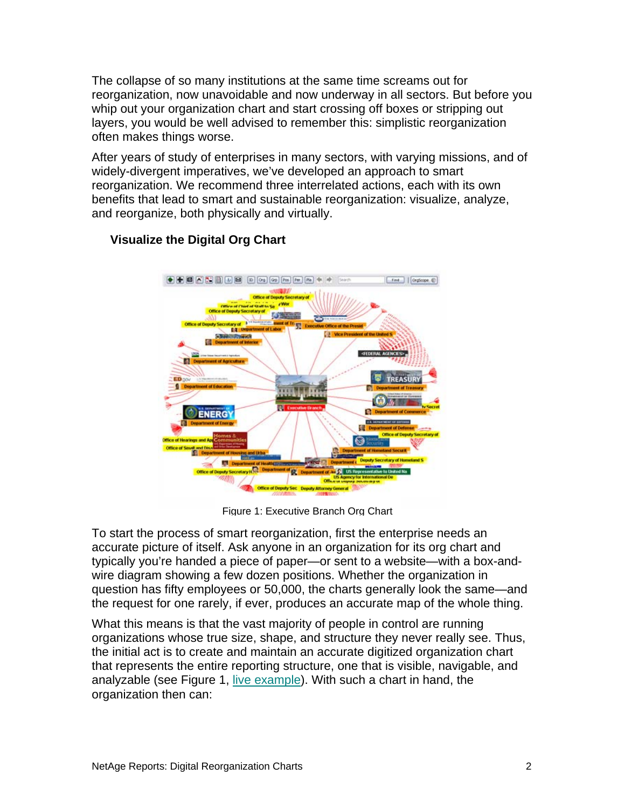The collapse of so many institutions at the same time screams out for reorganization, now unavoidable and now underway in all sectors. But before you whip out your organization chart and start crossing off boxes or stripping out layers, you would be well advised to remember this: simplistic reorganization often makes things worse.

After years of study of enterprises in many sectors, with varying missions, and of widely-divergent imperatives, we've developed an approach to smart reorganization. We recommend three interrelated actions, each with its own benefits that lead to smart and sustainable reorganization: visualize, analyze, and reorganize, both physically and virtually.



## **Visualize the Digital Org Chart**

Figure 1: Executive Branch Org Chart

To start the process of smart reorganization, first the enterprise needs an accurate picture of itself. Ask anyone in an organization for its org chart and typically you're handed a piece of paper—or sent to a website—with a box-andwire diagram showing a few dozen positions. Whether the organization in question has fifty employees or 50,000, the charts generally look the same—and the request for one rarely, if ever, produces an accurate map of the whole thing.

What this means is that the vast majority of people in control are running organizations whose true size, shape, and structure they never really see. Thus, the initial act is to create and maintain an accurate digitized organization chart that represents the entire reporting structure, one that is visible, navigable, and analyzable (see Figure 1, [live example\)](http://www.netage.com/economics/publish/USGov.html). With such a chart in hand, the organization then can: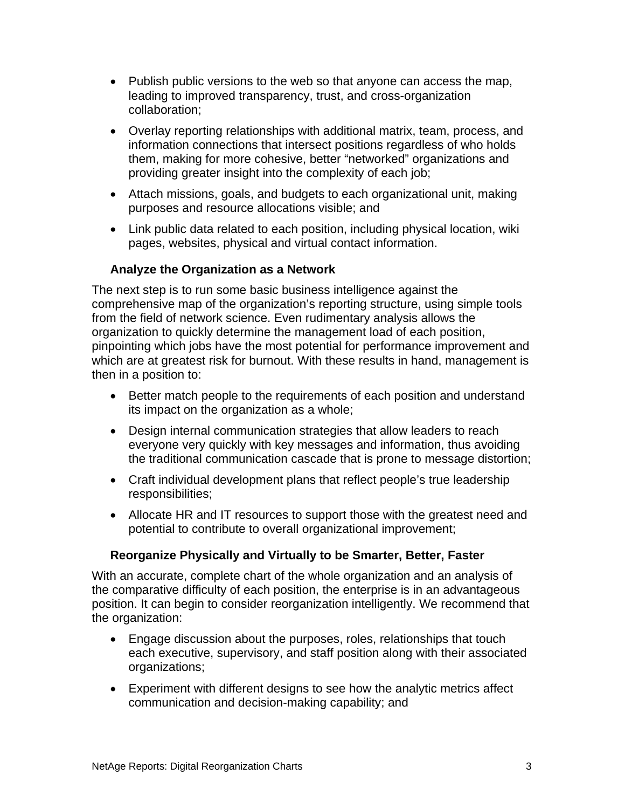- Publish public versions to the web so that anyone can access the map, leading to improved transparency, trust, and cross-organization collaboration;
- Overlay reporting relationships with additional matrix, team, process, and information connections that intersect positions regardless of who holds them, making for more cohesive, better "networked" organizations and providing greater insight into the complexity of each job;
- Attach missions, goals, and budgets to each organizational unit, making purposes and resource allocations visible; and
- Link public data related to each position, including physical location, wiki pages, websites, physical and virtual contact information.

#### **Analyze the Organization as a Network**

The next step is to run some basic business intelligence against the comprehensive map of the organization's reporting structure, using simple tools from the field of network science. Even rudimentary analysis allows the organization to quickly determine the management load of each position, pinpointing which jobs have the most potential for performance improvement and which are at greatest risk for burnout. With these results in hand, management is then in a position to:

- Better match people to the requirements of each position and understand its impact on the organization as a whole;
- Design internal communication strategies that allow leaders to reach everyone very quickly with key messages and information, thus avoiding the traditional communication cascade that is prone to message distortion;
- Craft individual development plans that reflect people's true leadership responsibilities;
- Allocate HR and IT resources to support those with the greatest need and potential to contribute to overall organizational improvement;

### **Reorganize Physically and Virtually to be Smarter, Better, Faster**

With an accurate, complete chart of the whole organization and an analysis of the comparative difficulty of each position, the enterprise is in an advantageous position. It can begin to consider reorganization intelligently. We recommend that the organization:

- Engage discussion about the purposes, roles, relationships that touch each executive, supervisory, and staff position along with their associated organizations;
- Experiment with different designs to see how the analytic metrics affect communication and decision-making capability; and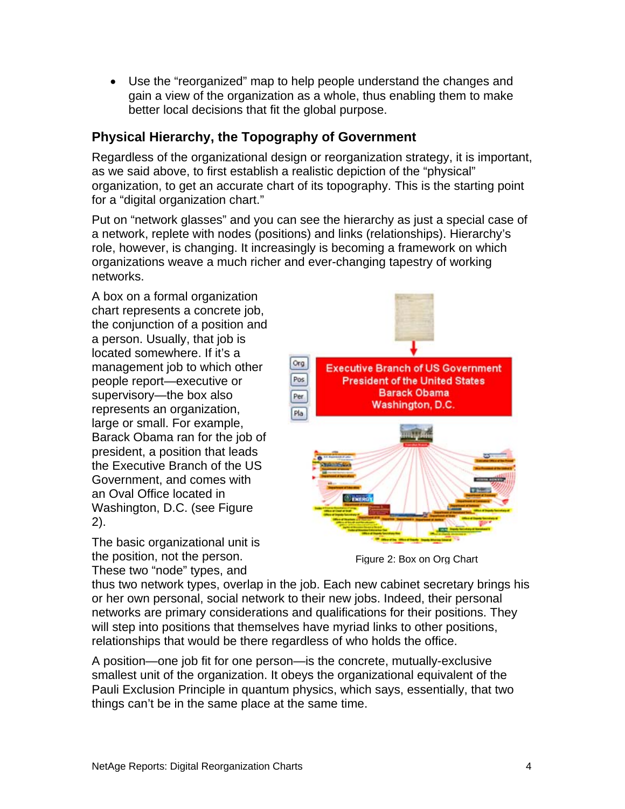• Use the "reorganized" map to help people understand the changes and gain a view of the organization as a whole, thus enabling them to make better local decisions that fit the global purpose.

## **Physical Hierarchy, the Topography of Government**

Regardless of the organizational design or reorganization strategy, it is important, as we said above, to first establish a realistic depiction of the "physical" organization, to get an accurate chart of its topography. This is the starting point for a "digital organization chart."

Put on "network glasses" and you can see the hierarchy as just a special case of a network, replete with nodes (positions) and links (relationships). Hierarchy's role, however, is changing. It increasingly is becoming a framework on which organizations weave a much richer and ever-changing tapestry of working networks.

A box on a formal organization chart represents a concrete job, the conjunction of a position and a person. Usually, that job is located somewhere. If it's a management job to which other people report—executive or supervisory—the box also represents an organization, large or small. For example, Barack Obama ran for the job of president, a position that leads the Executive Branch of the US Government, and comes with an Oval Office located in Washington, D.C. (see Figure 2).

The basic organizational unit is the position, not the person. These two "node" types, and



Figure 2: Box on Org Chart

thus two network types, overlap in the job. Each new cabinet secretary brings his or her own personal, social network to their new jobs. Indeed, their personal networks are primary considerations and qualifications for their positions. They will step into positions that themselves have myriad links to other positions, relationships that would be there regardless of who holds the office.

A position—one job fit for one person—is the concrete, mutually-exclusive smallest unit of the organization. It obeys the organizational equivalent of the Pauli Exclusion Principle in quantum physics, which says, essentially, that two things can't be in the same place at the same time.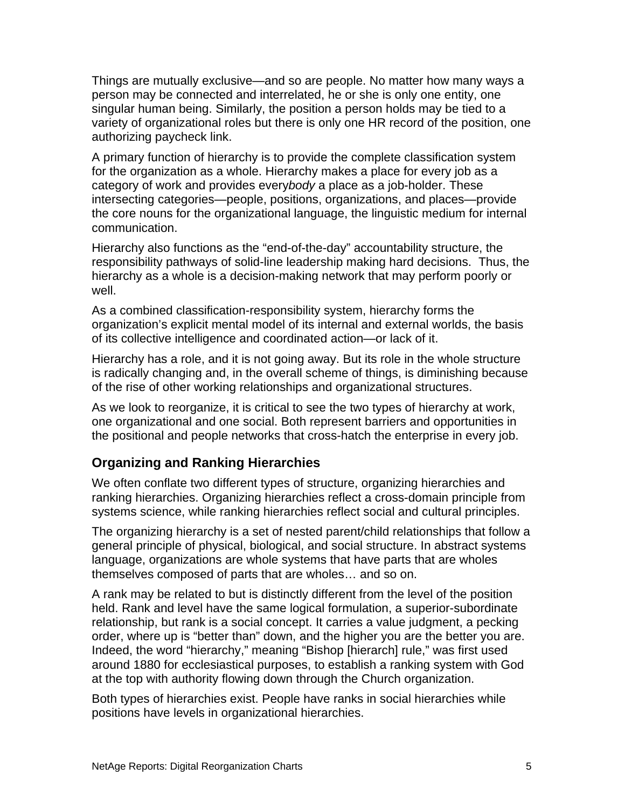Things are mutually exclusive—and so are people. No matter how many ways a person may be connected and interrelated, he or she is only one entity, one singular human being. Similarly, the position a person holds may be tied to a variety of organizational roles but there is only one HR record of the position, one authorizing paycheck link.

A primary function of hierarchy is to provide the complete classification system for the organization as a whole. Hierarchy makes a place for every job as a category of work and provides every*body* a place as a job-holder. These intersecting categories—people, positions, organizations, and places—provide the core nouns for the organizational language, the linguistic medium for internal communication.

Hierarchy also functions as the "end-of-the-day" accountability structure, the responsibility pathways of solid-line leadership making hard decisions. Thus, the hierarchy as a whole is a decision-making network that may perform poorly or well.

As a combined classification-responsibility system, hierarchy forms the organization's explicit mental model of its internal and external worlds, the basis of its collective intelligence and coordinated action—or lack of it.

Hierarchy has a role, and it is not going away. But its role in the whole structure is radically changing and, in the overall scheme of things, is diminishing because of the rise of other working relationships and organizational structures.

As we look to reorganize, it is critical to see the two types of hierarchy at work, one organizational and one social. Both represent barriers and opportunities in the positional and people networks that cross-hatch the enterprise in every job.

## **Organizing and Ranking Hierarchies**

We often conflate two different types of structure, organizing hierarchies and ranking hierarchies. Organizing hierarchies reflect a cross-domain principle from systems science, while ranking hierarchies reflect social and cultural principles.

The organizing hierarchy is a set of nested parent/child relationships that follow a general principle of physical, biological, and social structure. In abstract systems language, organizations are whole systems that have parts that are wholes themselves composed of parts that are wholes… and so on.

A rank may be related to but is distinctly different from the level of the position held. Rank and level have the same logical formulation, a superior-subordinate relationship, but rank is a social concept. It carries a value judgment, a pecking order, where up is "better than" down, and the higher you are the better you are. Indeed, the word "hierarchy," meaning "Bishop [hierarch] rule," was first used around 1880 for ecclesiastical purposes, to establish a ranking system with God at the top with authority flowing down through the Church organization.

Both types of hierarchies exist. People have ranks in social hierarchies while positions have levels in organizational hierarchies.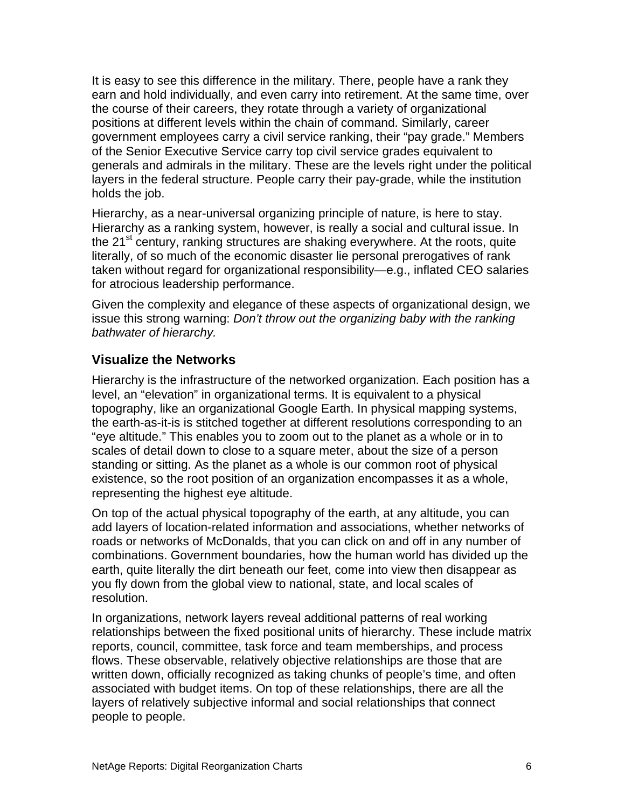It is easy to see this difference in the military. There, people have a rank they earn and hold individually, and even carry into retirement. At the same time, over the course of their careers, they rotate through a variety of organizational positions at different levels within the chain of command. Similarly, career government employees carry a civil service ranking, their "pay grade." Members of the Senior Executive Service carry top civil service grades equivalent to generals and admirals in the military. These are the levels right under the political layers in the federal structure. People carry their pay-grade, while the institution holds the job.

Hierarchy, as a near-universal organizing principle of nature, is here to stay. Hierarchy as a ranking system, however, is really a social and cultural issue. In the 21<sup>st</sup> century, ranking structures are shaking everywhere. At the roots, quite literally, of so much of the economic disaster lie personal prerogatives of rank taken without regard for organizational responsibility—e.g., inflated CEO salaries for atrocious leadership performance.

Given the complexity and elegance of these aspects of organizational design, we issue this strong warning: *Don't throw out the organizing baby with the ranking bathwater of hierarchy.*

### **Visualize the Networks**

Hierarchy is the infrastructure of the networked organization. Each position has a level, an "elevation" in organizational terms. It is equivalent to a physical topography, like an organizational Google Earth. In physical mapping systems, the earth-as-it-is is stitched together at different resolutions corresponding to an "eye altitude." This enables you to zoom out to the planet as a whole or in to scales of detail down to close to a square meter, about the size of a person standing or sitting. As the planet as a whole is our common root of physical existence, so the root position of an organization encompasses it as a whole, representing the highest eye altitude.

On top of the actual physical topography of the earth, at any altitude, you can add layers of location-related information and associations, whether networks of roads or networks of McDonalds, that you can click on and off in any number of combinations. Government boundaries, how the human world has divided up the earth, quite literally the dirt beneath our feet, come into view then disappear as you fly down from the global view to national, state, and local scales of resolution.

In organizations, network layers reveal additional patterns of real working relationships between the fixed positional units of hierarchy. These include matrix reports, council, committee, task force and team memberships, and process flows. These observable, relatively objective relationships are those that are written down, officially recognized as taking chunks of people's time, and often associated with budget items. On top of these relationships, there are all the layers of relatively subjective informal and social relationships that connect people to people.